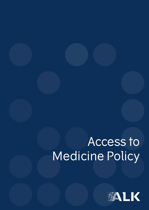# Access to Medicine Policy

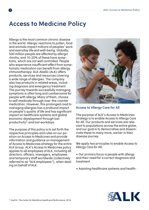# **Access to Medicine Policy**

Allergy is the most common chronic disease in the world. Allergic reactions to pollen, food and animals impact millions of peoples' work and everyday life and well-being. Globally, 500 million people are affected by allergic rhinitis, and 10-20% of these have symptoms, which are not well controlled. People who experience insufficient effect from symptomatic medication can benefit from allergy immunotherapy. ALK-Abelló (ALK) offers products, services and resources covering a wide range of allergies. The company also has products in related areas, including diagnosis and emergency treatment. The journey towards successfully managing symptoms is often long and cumbersome for people with allergy. Many of them, choose to self-medicate through over-the-counter medication. However, this prolonged road to managing allergies has a profound impact on people's quality of life and has significant impact on healthcare systems and global economic development through lost productivity1 and lost workdays.

The purpose of this policy is to set forth the respective principles and rules on our position on Access to Medicines and provide information and guidance on management of Access to Medicines strategy for the entire ALK Group. ALK's Access to Medicines policy applies to all employees of ALK, including all directors, officers, managers, employees and temporary staff worldwide (collectively referred to as "ALK employees"), when dealing on behalf of ALK.



**Access to Allergy Care for All**

The purpose of ALK's Access to Medicines strategy is to enable Access to Allergy Care for All. Our products and services are relevant to populations across the entire globe, and our goal is to democratise and disseminate these to many more, earlier in their disease journey.

We apply two principles to enable Access to Allergy Care for All:

• Our primary focus is people with allergy and their need for a correct diagnosis and treatment

• Assisting healthcare systems and health-

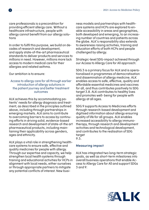care professionals is a precondition for providing efficient allergy care. Without a healthcare infrastructure, people with allergy cannot benefit from our allergy solutions

In order to fulfil this purpose, we build on decades of research and development, and apply state-of-the-art pharmaceutical standards to deliver products and services to millions in need. However, millions more lack access to modern medical care for their allergies and related asthma.

Our ambition is to ensure:

#### Access to allergy care for all through earlier introduction of allergy solutions in the patient journey and better treatment outcomes

ALK achieves this by accommodating patients' needs for allergy diagnosis and treatment, as described in the principles outlined above, including through partnerships in emerging markets. ALK aims to contribute to overcoming barriers to access by continuing efforts in driving solid, evidence-based research and development of state-of-the art pharmaceutical products, including maintaining their applicability across genders, ages and ethnicity.

ALK plays a vital role in strengthening healthcare systems to ensure safe, effective and quality medicines for people with allergy. Through our expertise and capacity, we help strengthen local health systems through training and educational activities for HCPs in alignment with local needs, either ourselves or through appropriate partners to mitigate any potential conflicts of interest. New business models and partnerships with healthcare systems and HCPs are explored to enable accessibility in areas and geographies, both developed and emerging, to an increasing number of countries and patients across the globe. ALK's responsibility also extends to awareness raising activities, training and education efforts of both HCPs and people challenged by allergy.

Strategic-level SDG-impact achieved through our Access to Allergy Care for All approach:

SDG 3 is a primary focus for ALK and is operationalised in programmes of democratisation and dissemination of allergy medicine. ALK enables access to safe, effective, quality and affordable essential medicines and vaccines for all, and thus contributes positively to SDG target 3.8. ALK contributes to healthy lives and promotes well- being for people with allergy at all ages.

SDG 9 supports Access to Medicines efforts through research-based development and digitised information about allergy ensuring quality of life for all groups. ALK enables increased accessibility to allergy immunotherapy, through research and development activities and technological development, and contributes to the realisation of SDG target 9.5.

#### **Measuring impact**

ALK has integrated two long-term strategic goals, as well as short-term milestones into overall business operations that enable Access to Allergy Care for All and support SDGs 3 and 9:

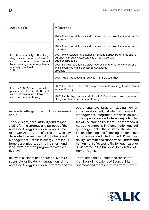| <b>2030 Goals</b>                                                                                                                                                                 | <b>Milestones</b>                                                                                                                              |
|-----------------------------------------------------------------------------------------------------------------------------------------------------------------------------------|------------------------------------------------------------------------------------------------------------------------------------------------|
|                                                                                                                                                                                   | 2025: Children/adolescent indication added to current indication in 10+<br>countries                                                           |
| Enable accessibility to ALK allergy<br>diagnosis, immunotheraPy treat-<br>ments and/or adrenaline products<br>by increasing number of patients<br>annually by at least<br>100,000 | 2025: Children/adolescent indication added to current indication in 10+<br>countries                                                           |
|                                                                                                                                                                                   | 2023: Make ALK allergy diagnosis, immunotherapy treatments and/or<br>adrenaline products accessible to at least 300.000<br>additional patients |
|                                                                                                                                                                                   | 2025: Strive for availability of ALK allergy immunotherapy and adrena-<br>line in countries with no access to ALK allergy<br>products          |
|                                                                                                                                                                                   | 2025: Tablet-based AIT introduced in 5+ new countries                                                                                          |
| Educate 200.000 and establish<br>partnerships to train 50.000 health-<br>care professionals in allergy treat-<br>ment and immunotherapy                                           | 2022: Educate 20.000 healthcare professionals in allergy treatment and<br>immunotherapy                                                        |
|                                                                                                                                                                                   | 2022: Establish partnerships to train 4.000 healthcare professionals in<br>allergy treatment and immunotherapy                                 |

#### **Access to Allergy Care for All governance setup**

The oversight, accountability and responsibility for the strategy and purpose of the Access to Allergy Care for All programme rests with ALK's Board of Directors, who have delegated this responsibility to the Board of Management. Access to Allergy Care for All targets are integrated into the short- and long-term incentive programmes at executive level.

Relevant business units across ALK are responsible for the daily management of the Access to Allergy Care for All strategy and the operational-level targets, including monitoring of development, risk identification and management, integration into decision-making and processes and internal reporting to the ALK Sustainability team. The team coordinates and supports implementation and daily management of the strategy. The identification, planning and financing of connected activities are conducted by the ALK Sustainability Committee to support the fundamental human right of accessibility to healthcare for all as stated in the Universal Declaration of Human Rights.

The Sustainability Committee consists of members of the extended Board of Management and representatives from relevant